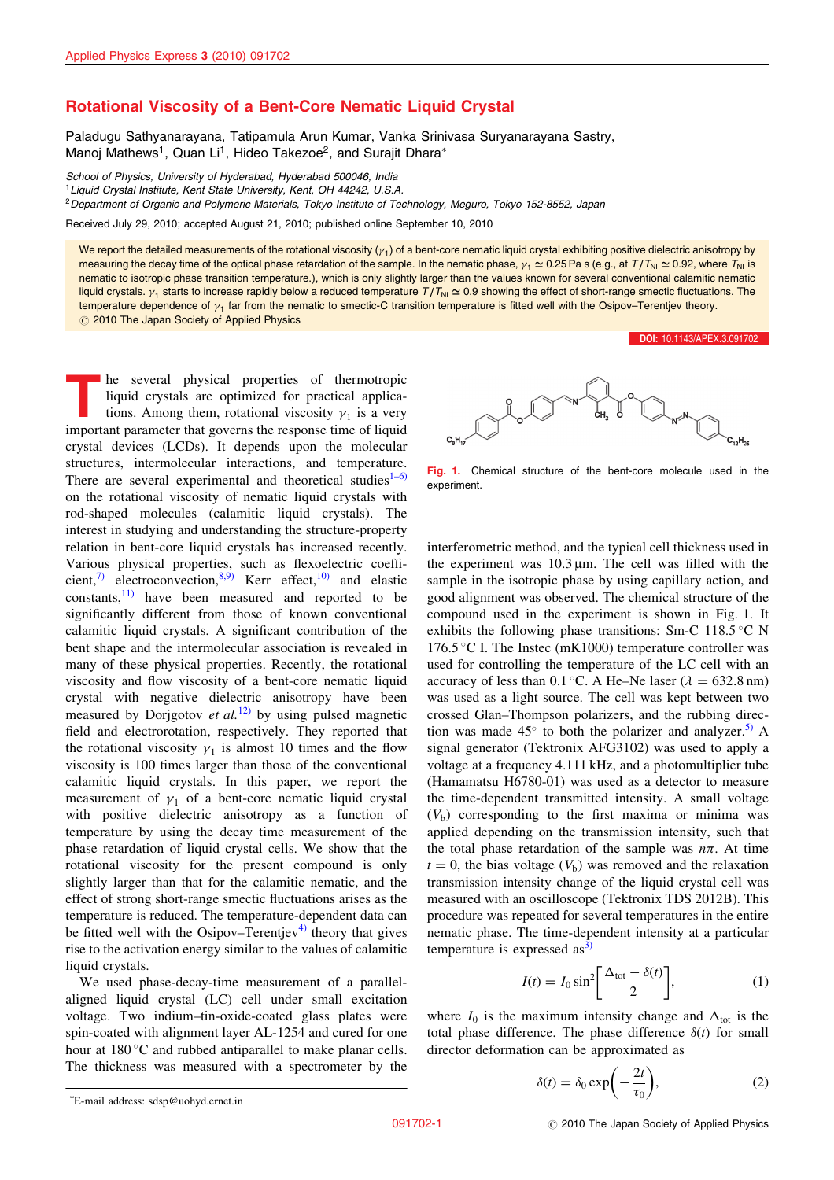## Rotational Viscosity of a Bent-Core Nematic Liquid Crystal

Paladugu Sathyanarayana, Tatipamula Arun Kumar, Vanka Srinivasa Suryanarayana Sastry, Manoi Mathews<sup>1</sup>, Quan Li<sup>1</sup>, Hideo Takezoe<sup>2</sup>, and Suraiit Dhara<sup>\*</sup>

School of Physics, University of Hyderabad, Hyderabad 500046, India

<sup>1</sup> Liquid Crystal Institute, Kent State University, Kent, OH 44242, U.S.A.

<sup>2</sup>Department of Organic and Polymeric Materials, Tokyo Institute of Technology, Meguro, Tokyo 152-8552, Japan

Received July 29, 2010; accepted August 21, 2010; published online September 10, 2010

We report the detailed measurements of the rotational viscosity  $(\gamma_1)$  of a bent-core nematic liquid crystal exhibiting positive dielectric anisotropy by measuring the decay time of the optical phase retardation of the sample. In the nematic phase,  $y_1 \approx 0.25$  Pa s (e.g., at  $T/T_{\text{NI}} \approx 0.92$ , where  $T_{\text{NI}}$  is nematic to isotropic phase transition temperature.), which is only slightly larger than the values known for several conventional calamitic nematic liquid crystals.  $\gamma_1$  starts to increase rapidly below a reduced temperature  $T/T_N \simeq 0.9$  showing the effect of short-range smectic fluctuations. The temperature dependence of  $y_1$  far from the nematic to smectic-C transition temperature is fitted well with the Osipov–Terentjev theory.  $\oslash$  2010 The Japan Society of Applied Physics

The several physical properties of thermotropic liquid crystals are optimized for practical applications. Among them, rotational viscosity  $\gamma_1$  is a very important parameter that governs the response time of liquid crystal devices (LCDs). It depends upon the molecular structures, intermolecular interactions, and temperature. There are several experimental and theoretical studies $1-6$ ) on the rotational viscosity of nematic liquid crystals with rod-shaped molecules (calamitic liquid crystals). The interest in studying and understanding the structure-property relation in bent-core liquid crystals has increased recently. Various physical properties, such as flexoelectric coeffi-cient,<sup>[7\)](#page-2-0)</sup> electroconvection,<sup>[8,9\)](#page-2-0)</sup> Kerr effect,<sup>[10\)](#page-2-0)</sup> and elastic constants, $\frac{11}{11}$  have been measured and reported to be significantly different from those of known conventional calamitic liquid crystals. A significant contribution of the bent shape and the intermolecular association is revealed in many of these physical properties. Recently, the rotational viscosity and flow viscosity of a bent-core nematic liquid crystal with negative dielectric anisotropy have been measured by Dorjgotov *et al.*<sup>[12\)](#page-2-0)</sup> by using pulsed magnetic field and electrorotation, respectively. They reported that the rotational viscosity  $\gamma_1$  is almost 10 times and the flow viscosity is 100 times larger than those of the conventional calamitic liquid crystals. In this paper, we report the measurement of  $\gamma_1$  of a bent-core nematic liquid crystal with positive dielectric anisotropy as a function of temperature by using the decay time measurement of the phase retardation of liquid crystal cells. We show that the rotational viscosity for the present compound is only slightly larger than that for the calamitic nematic, and the effect of strong short-range smectic fluctuations arises as the temperature is reduced. The temperature-dependent data can be fitted well with the Osipov–Terentjev<sup>[4\)](#page-2-0)</sup> theory that gives rise to the activation energy similar to the values of calamitic liquid crystals.

We used phase-decay-time measurement of a parallelaligned liquid crystal (LC) cell under small excitation voltage. Two indium–tin-oxide-coated glass plates were spin-coated with alignment layer AL-1254 and cured for one hour at  $180^{\circ}$ C and rubbed antiparallel to make planar cells. The thickness was measured with a spectrometer by the



[DOI:](http://dx.doi.org/10.1143/APEX.3.091702) [10.1143/APEX.3.091702](http://dx.doi.org/10.1143/APEX.3.091702)

Fig. 1. Chemical structure of the bent-core molecule used in the experiment.

interferometric method, and the typical cell thickness used in the experiment was  $10.3 \mu m$ . The cell was filled with the sample in the isotropic phase by using capillary action, and good alignment was observed. The chemical structure of the compound used in the experiment is shown in Fig. 1. It exhibits the following phase transitions: Sm-C 118.5 $\degree$ C N 176.5 °C I. The Instec (mK1000) temperature controller was used for controlling the temperature of the LC cell with an accuracy of less than  $0.1 \degree C$ . A He–Ne laser ( $\lambda = 632.8 \text{ nm}$ ) was used as a light source. The cell was kept between two crossed Glan–Thompson polarizers, and the rubbing direction was made  $45^{\circ}$  to both the polarizer and analyzer.<sup>[5\)](#page-2-0)</sup> A signal generator (Tektronix AFG3102) was used to apply a voltage at a frequency 4.111 kHz, and a photomultiplier tube (Hamamatsu H6780-01) was used as a detector to measure the time-dependent transmitted intensity. A small voltage  $(V<sub>b</sub>)$  corresponding to the first maxima or minima was applied depending on the transmission intensity, such that the total phase retardation of the sample was  $n\pi$ . At time  $t = 0$ , the bias voltage ( $V<sub>b</sub>$ ) was removed and the relaxation transmission intensity change of the liquid crystal cell was measured with an oscilloscope (Tektronix TDS 2012B). This procedure was repeated for several temperatures in the entire nematic phase. The time-dependent intensity at a particular temperature is expressed as<sup>3</sup>

$$
I(t) = I_0 \sin^2 \left[ \frac{\Delta_{\text{tot}} - \delta(t)}{2} \right],\tag{1}
$$

where  $I_0$  is the maximum intensity change and  $\Delta_{\text{tot}}$  is the total phase difference. The phase difference  $\delta(t)$  for small director deformation can be approximated as

$$
\delta(t) = \delta_0 \exp\left(-\frac{2t}{\tau_0}\right),\tag{2}
$$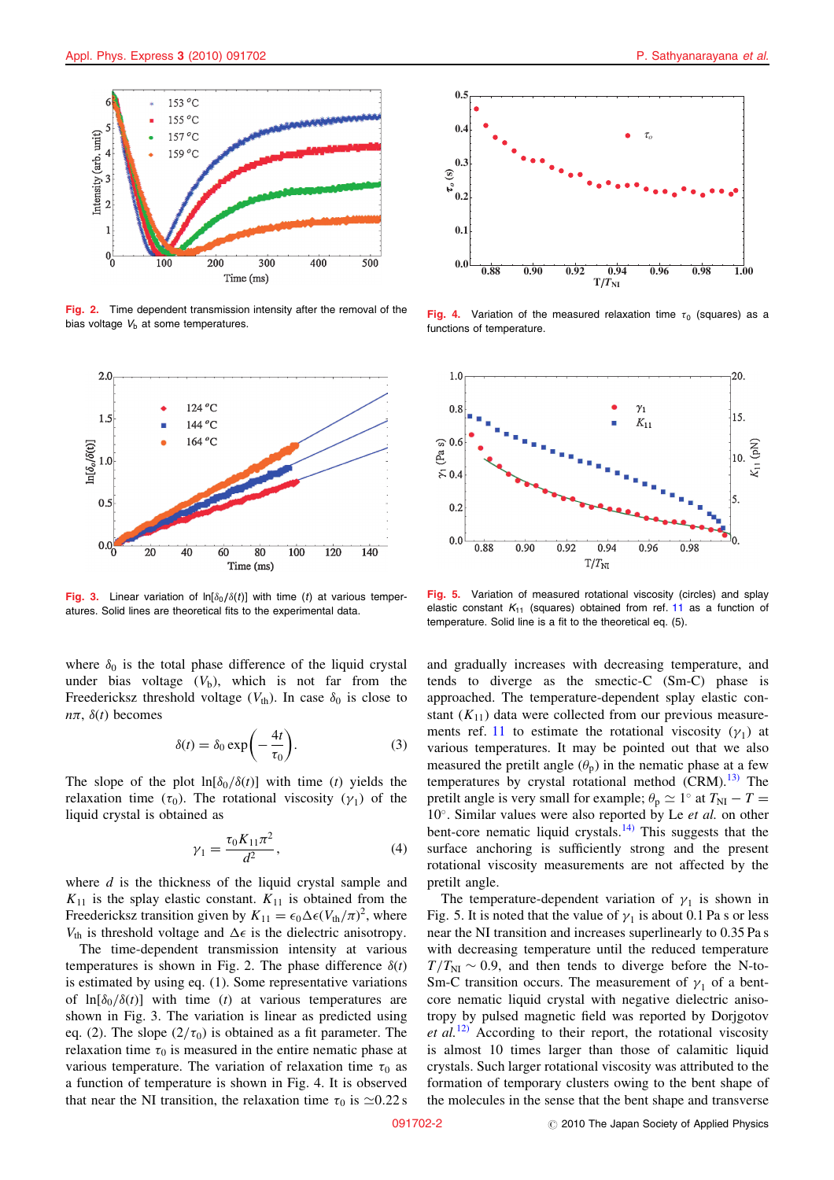

Fig. 2. Time dependent transmission intensity after the removal of the bias voltage  $V<sub>b</sub>$  at some temperatures.



Fig. 3. Linear variation of  $ln[\delta_0/\delta(t)]$  with time (t) at various temperatures. Solid lines are theoretical fits to the experimental data.

where  $\delta_0$  is the total phase difference of the liquid crystal under bias voltage  $(V<sub>b</sub>)$ , which is not far from the Freedericksz threshold voltage ( $V_{th}$ ). In case  $\delta_0$  is close to  $n\pi$ ,  $\delta(t)$  becomes

$$
\delta(t) = \delta_0 \exp\left(-\frac{4t}{\tau_0}\right).
$$
 (3)

The slope of the plot  $\ln[\delta_0/\delta(t)]$  with time (t) yields the relaxation time  $(\tau_0)$ . The rotational viscosity  $(\gamma_1)$  of the liquid crystal is obtained as

$$
\gamma_1 = \frac{\tau_0 K_{11} \pi^2}{d^2},\tag{4}
$$

where  $d$  is the thickness of the liquid crystal sample and  $K_{11}$  is the splay elastic constant.  $K_{11}$  is obtained from the Freedericksz transition given by  $K_{11} = \epsilon_0 \Delta \epsilon (V_{\text{th}}/\pi)^2$ , where  $V_{\text{th}}$  is threshold voltage and  $\Delta \epsilon$  is the dielectric anisotropy.

The time-dependent transmission intensity at various temperatures is shown in Fig. 2. The phase difference  $\delta(t)$ is estimated by using eq. (1). Some representative variations of  $\ln[\delta_0/\delta(t)]$  with time (t) at various temperatures are shown in Fig. 3. The variation is linear as predicted using eq. (2). The slope  $(2/\tau_0)$  is obtained as a fit parameter. The relaxation time  $\tau_0$  is measured in the entire nematic phase at various temperature. The variation of relaxation time  $\tau_0$  as a function of temperature is shown in Fig. 4. It is observed that near the NI transition, the relaxation time  $\tau_0$  is  $\approx 0.22$  s



Fig. 4. Variation of the measured relaxation time  $\tau_0$  (squares) as a functions of temperature.



Fig. 5. Variation of measured rotational viscosity (circles) and splay elastic constant  $K_{11}$  $K_{11}$  $K_{11}$  (squares) obtained from ref. 11 as a function of temperature. Solid line is a fit to the theoretical eq. (5).

and gradually increases with decreasing temperature, and tends to diverge as the smectic-C (Sm-C) phase is approached. The temperature-dependent splay elastic constant  $(K_{11})$  data were collected from our previous measure-ments ref. [11](#page-2-0) to estimate the rotational viscosity  $(\gamma_1)$  at various temperatures. It may be pointed out that we also measured the pretilt angle  $(\theta_p)$  in the nematic phase at a few temperatures by crystal rotational method  $(CRM)$ .<sup>[13\)](#page-2-0)</sup> The pretilt angle is very small for example;  $\theta_p \simeq 1^\circ$  at  $T_{\rm NI} - T =$  $10^\circ$ . Similar values were also reported by Le et al. on other bent-core nematic liquid crystals.[14\)](#page-2-0) This suggests that the surface anchoring is sufficiently strong and the present rotational viscosity measurements are not affected by the pretilt angle.

The temperature-dependent variation of  $\gamma_1$  is shown in Fig. 5. It is noted that the value of  $\gamma_1$  is about 0.1 Pa s or less near the NI transition and increases superlinearly to 0.35 Pa s with decreasing temperature until the reduced temperature  $T/T_{\text{NI}} \sim 0.9$ , and then tends to diverge before the N-to-Sm-C transition occurs. The measurement of  $\gamma_1$  of a bentcore nematic liquid crystal with negative dielectric anisotropy by pulsed magnetic field was reported by Dorjgotov et  $al$ <sup>[12\)](#page-2-0)</sup> According to their report, the rotational viscosity is almost 10 times larger than those of calamitic liquid crystals. Such larger rotational viscosity was attributed to the formation of temporary clusters owing to the bent shape of the molecules in the sense that the bent shape and transverse